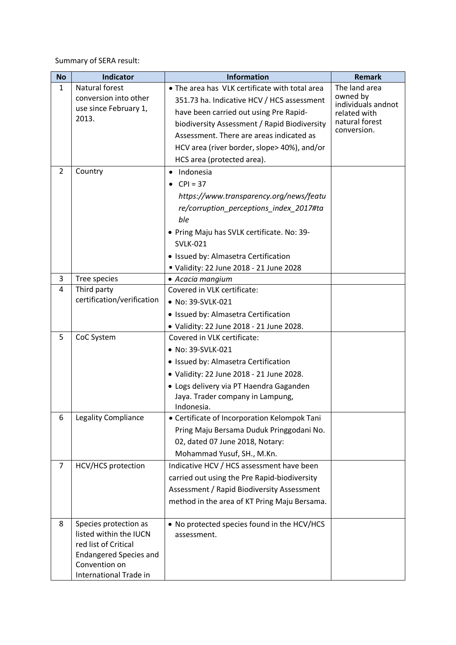Summary of SERA result:

| <b>No</b>      | Indicator                               | <b>Information</b>                                                                       | <b>Remark</b>                                   |
|----------------|-----------------------------------------|------------------------------------------------------------------------------------------|-------------------------------------------------|
| $\mathbf{1}$   | Natural forest                          | • The area has VLK certificate with total area                                           | The land area<br>owned by<br>individuals andnot |
|                | conversion into other                   | 351.73 ha. Indicative HCV / HCS assessment                                               |                                                 |
|                | use since February 1,                   | have been carried out using Pre Rapid-                                                   | related with                                    |
|                | 2013.                                   | biodiversity Assessment / Rapid Biodiversity                                             | natural forest                                  |
|                |                                         | Assessment. There are areas indicated as                                                 | conversion.                                     |
|                |                                         | HCV area (river border, slope>40%), and/or                                               |                                                 |
|                |                                         | HCS area (protected area).                                                               |                                                 |
| $\overline{2}$ | Country                                 | Indonesia<br>٠                                                                           |                                                 |
|                |                                         | $CPI = 37$                                                                               |                                                 |
|                |                                         | https://www.transparency.org/news/featu                                                  |                                                 |
|                |                                         | re/corruption_perceptions_index_2017#ta                                                  |                                                 |
|                |                                         | ble                                                                                      |                                                 |
|                |                                         | • Pring Maju has SVLK certificate. No: 39-                                               |                                                 |
|                |                                         | <b>SVLK-021</b>                                                                          |                                                 |
|                |                                         | • Issued by: Almasetra Certification                                                     |                                                 |
|                |                                         | Validity: 22 June 2018 - 21 June 2028                                                    |                                                 |
| 3              | Tree species                            | • Acacia mangium                                                                         |                                                 |
| 4              | Third party                             | Covered in VLK certificate:                                                              |                                                 |
|                | certification/verification              | • No: 39-SVLK-021                                                                        |                                                 |
|                |                                         | · Issued by: Almasetra Certification                                                     |                                                 |
|                |                                         | • Validity: 22 June 2018 - 21 June 2028.                                                 |                                                 |
| 5              | CoC System                              | Covered in VLK certificate:                                                              |                                                 |
|                |                                         | • No: 39-SVLK-021                                                                        |                                                 |
|                |                                         | • Issued by: Almasetra Certification                                                     |                                                 |
|                |                                         | · Validity: 22 June 2018 - 21 June 2028.                                                 |                                                 |
|                |                                         | · Logs delivery via PT Haendra Gaganden                                                  |                                                 |
|                |                                         | Jaya. Trader company in Lampung,                                                         |                                                 |
| 6              | Legality Compliance                     | Indonesia.                                                                               |                                                 |
|                |                                         | • Certificate of Incorporation Kelompok Tani<br>Pring Maju Bersama Duduk Pringgodani No. |                                                 |
|                |                                         | 02, dated 07 June 2018, Notary:                                                          |                                                 |
|                |                                         | Mohammad Yusuf, SH., M.Kn.                                                               |                                                 |
| $\overline{7}$ | <b>HCV/HCS</b> protection               | Indicative HCV / HCS assessment have been                                                |                                                 |
|                |                                         | carried out using the Pre Rapid-biodiversity                                             |                                                 |
|                |                                         | Assessment / Rapid Biodiversity Assessment                                               |                                                 |
|                |                                         | method in the area of KT Pring Maju Bersama.                                             |                                                 |
|                |                                         |                                                                                          |                                                 |
| 8              | Species protection as                   | • No protected species found in the HCV/HCS                                              |                                                 |
|                | listed within the IUCN                  | assessment.                                                                              |                                                 |
|                | red list of Critical                    |                                                                                          |                                                 |
|                | <b>Endangered Species and</b>           |                                                                                          |                                                 |
|                | Convention on<br>International Trade in |                                                                                          |                                                 |